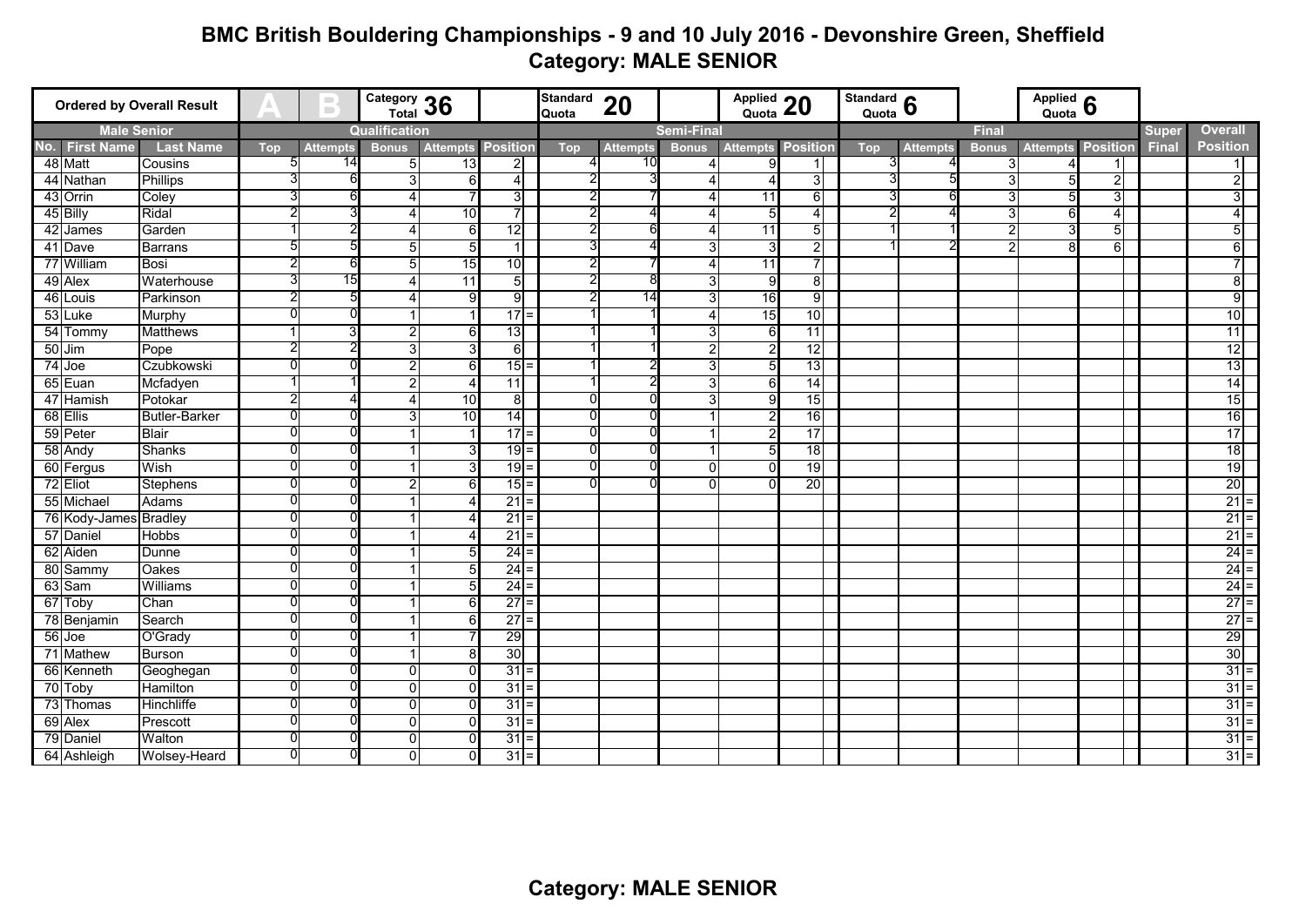## **BMC British Bouldering Championships - 9 and 10 July 2016 - Devonshire Green, Sheffield Category: MALE SENIOR**

| <b>Ordered by Overall Result</b> |                       |                      |            | $\blacksquare$  |                | Category 36     |                   | Standard 20<br>Quota |                 | Applied 20     |                 | Standard $\overline{\mathbf{6}}$<br>Quota |              |                 | Applied 6    |                 |                 |                |                 |  |
|----------------------------------|-----------------------|----------------------|------------|-----------------|----------------|-----------------|-------------------|----------------------|-----------------|----------------|-----------------|-------------------------------------------|--------------|-----------------|--------------|-----------------|-----------------|----------------|-----------------|--|
| <b>Male Senior</b>               |                       |                      |            | Qualification   |                |                 | <b>Semi-Final</b> |                      |                 |                |                 |                                           |              | <b>Final</b>    |              |                 |                 | <b>Overall</b> |                 |  |
|                                  | No. First Name        | <b>Last Name</b>     | <b>Top</b> | <b>Attempts</b> | <b>Bonus</b>   | <b>Attempts</b> | <b>Position</b>   | <b>Top</b>           | <b>Attempts</b> | <b>Bonus</b>   | <b>Attempts</b> | <b>Position</b>                           | <b>Top</b>   | <b>Attempts</b> | <b>Bonus</b> | <b>Attempts</b> | <b>Position</b> | <b>Final</b>   | <b>Position</b> |  |
|                                  | 48 Matt               | Cousins              | 5          | 14              | $5 \mid$       | 13              | 2                 |                      |                 | 4              | 9               |                                           | 3            |                 |              |                 | 1               |                | 11              |  |
|                                  | 44 Nathan             | <b>Phillips</b>      |            |                 | 3              | 6               | 4                 |                      |                 |                |                 | 3I                                        | 3            |                 | 3            |                 | $\overline{2}$  |                | $\overline{2}$  |  |
|                                  | 43 Orrin              | Coley                |            |                 | Δ              |                 | 3                 |                      |                 |                | 11              | $6 \mid$                                  |              | რ               | 3            | 5               | 3               |                | 3               |  |
|                                  | 45 Billy              | Ridal                |            |                 | 4              | 10              | 7                 | 2                    |                 | Δ              | 5               | 41                                        | $\mathbf{2}$ |                 | 3            | 6               | $\overline{4}$  |                | 4 <sup>1</sup>  |  |
|                                  | 42 James              | Garden               |            |                 | Δ              | 6               | $\overline{12}$   |                      |                 |                | 11              | 51                                        |              |                 |              | 3               | $5 \vert$       |                | 5 <sub>l</sub>  |  |
|                                  | 41 Dave               | <b>Barrans</b>       |            |                 | 5              |                 | 1                 |                      |                 | 3              | З               | 21                                        |              |                 | 2            |                 | 6               |                | $6 \mid$        |  |
|                                  | 77 William            | Bosi                 |            |                 | 5              | 15              | 10                |                      |                 | Δ              | 11              | $\overline{ }$                            |              |                 |              |                 |                 |                | $\overline{7}$  |  |
|                                  | 49 Alex               | Waterhouse           |            | 15              | Δ              | 11              | 5                 |                      |                 | 3              | 9               | 81                                        |              |                 |              |                 |                 |                | $8\sqrt{ }$     |  |
|                                  | 46 Louis              | Parkinson            |            |                 | Δ              | a               | $\overline{9}$    |                      | 14              | 3              | 16              | 9 <sub>l</sub>                            |              |                 |              |                 |                 |                | 9               |  |
|                                  | 53 Luke               | Murphy               |            |                 |                |                 | 17                |                      |                 | Δ              | 15              | 10                                        |              |                 |              |                 |                 |                | 10              |  |
|                                  | 54 Tommy              | <b>Matthews</b>      |            | 3               | 2              | 61              | 13                |                      |                 | 3              | 6               | $\overline{11}$                           |              |                 |              |                 |                 |                | $\overline{11}$ |  |
|                                  | $50$ Jim              | Pope                 |            |                 | 3              |                 | $6 \mid$          |                      |                 | $\overline{2}$ | 2               | $\overline{12}$                           |              |                 |              |                 |                 |                | 12              |  |
|                                  | 74 Joe                | Czubkowski           |            |                 | $\overline{2}$ | 6               | 15                | 1                    |                 | 3              | 5               | 13                                        |              |                 |              |                 |                 |                | 13              |  |
|                                  | 65 Euan               | Mcfadyen             |            |                 | 2              |                 | $\overline{11}$   |                      |                 | 3              | 6               | 14                                        |              |                 |              |                 |                 |                | 14              |  |
|                                  | 47 Hamish             | Potokar              |            |                 | Δ              | 10              | 8                 |                      |                 | 3              | $\mathbf{Q}$    | 15                                        |              |                 |              |                 |                 |                | 15              |  |
|                                  | 68 Ellis              | <b>Butler-Barker</b> |            |                 | 3              | 10              | $\overline{14}$   |                      |                 |                |                 | 16                                        |              |                 |              |                 |                 |                | 16              |  |
|                                  | 59 Peter              | <b>Blair</b>         |            |                 |                |                 | 17                | ŋ                    |                 |                |                 | 17                                        |              |                 |              |                 |                 |                | 17              |  |
|                                  | 58 Andy               | Shanks               |            |                 |                |                 | 19                |                      |                 |                | 5               | 18                                        |              |                 |              |                 |                 |                | 18              |  |
|                                  | 60 Fergus             | Wish                 |            |                 |                |                 | 19                | 0                    |                 | $\Omega$       | $\Omega$        | 19                                        |              |                 |              |                 |                 |                | 19              |  |
|                                  | 72 Eliot              | Stephens             |            |                 | $\overline{2}$ | 6               | 15                |                      |                 | $\Omega$       | 0               | 20                                        |              |                 |              |                 |                 |                | 20              |  |
|                                  | 55 Michael            | Adams                |            |                 |                |                 | 21                |                      |                 |                |                 |                                           |              |                 |              |                 |                 |                | $21 =$          |  |
|                                  | 76 Kody-James Bradley |                      |            |                 |                |                 | 21                |                      |                 |                |                 |                                           |              |                 |              |                 |                 |                | $21 =$          |  |
|                                  | 57 Daniel             | <b>Hobbs</b>         |            |                 |                |                 | 21                |                      |                 |                |                 |                                           |              |                 |              |                 |                 |                | $21 =$          |  |
|                                  | 62 Aiden              | Dunne                |            |                 |                |                 | 24                |                      |                 |                |                 |                                           |              |                 |              |                 |                 |                | $24 =$          |  |
|                                  | 80 Sammy              | Oakes                |            |                 |                |                 | 24                |                      |                 |                |                 |                                           |              |                 |              |                 |                 |                | $24 =$          |  |
|                                  | 63 Sam                | Williams             |            |                 |                |                 | 24                |                      |                 |                |                 |                                           |              |                 |              |                 |                 |                | $24 =$          |  |
|                                  | 67 Toby               | Chan                 | 0          |                 |                | ีค              | 27                |                      |                 |                |                 |                                           |              |                 |              |                 |                 |                | $27 =$          |  |
|                                  | 78 Benjamin           | Search               |            |                 |                | 6               | 27                |                      |                 |                |                 |                                           |              |                 |              |                 |                 |                | $27 =$          |  |
|                                  | 56 Joe                | O'Grady              |            |                 |                |                 | 29                |                      |                 |                |                 |                                           |              |                 |              |                 |                 |                | 29              |  |
|                                  | 71 Mathew             | <b>Burson</b>        |            |                 |                |                 | 30                |                      |                 |                |                 |                                           |              |                 |              |                 |                 |                | 30              |  |
|                                  | 66 Kenneth            | Geoghegan            |            |                 | O              |                 | 31                |                      |                 |                |                 |                                           |              |                 |              |                 |                 |                | $31 =$          |  |
|                                  | 70 Toby               | Hamilton             |            |                 | $\Omega$       |                 | 31                |                      |                 |                |                 |                                           |              |                 |              |                 |                 |                | $31 =$          |  |
|                                  | 73 Thomas             | Hinchliffe           |            |                 | 0              |                 | 31                |                      |                 |                |                 |                                           |              |                 |              |                 |                 |                | $31 =$          |  |
|                                  | 69 Alex               | Prescott             |            |                 | 0              |                 | 31                |                      |                 |                |                 |                                           |              |                 |              |                 |                 |                | $31 =$          |  |
|                                  | 79 Daniel             | Walton               |            |                 | 0              |                 | 31                |                      |                 |                |                 |                                           |              |                 |              |                 |                 |                | $31 =$          |  |
|                                  | 64 Ashleigh           | Wolsey-Heard         |            |                 | 0              | 0               | 31                |                      |                 |                |                 |                                           |              |                 |              |                 |                 |                | $31 =$          |  |